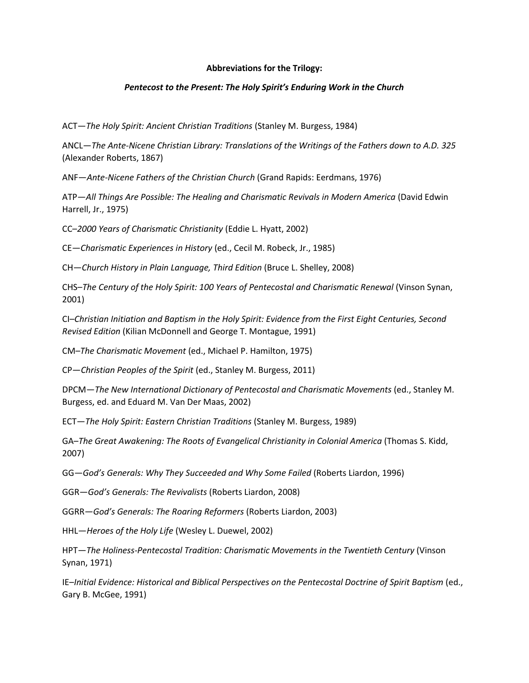## **Abbreviations for the Trilogy:**

## *Pentecost to the Present: The Holy Spirit's Enduring Work in the Church*

ACT—*The Holy Spirit: Ancient Christian Traditions* (Stanley M. Burgess, 1984)

ANCL—*The Ante-Nicene Christian Library: Translations of the Writings of the Fathers down to A.D. 325* (Alexander Roberts, 1867)

ANF—*Ante-Nicene Fathers of the Christian Church* (Grand Rapids: Eerdmans, 1976)

ATP—*All Things Are Possible: The Healing and Charismatic Revivals in Modern America* (David Edwin Harrell, Jr., 1975)

CC–*2000 Years of Charismatic Christianity* (Eddie L. Hyatt, 2002)

CE—*Charismatic Experiences in History* (ed., Cecil M. Robeck, Jr., 1985)

CH—*Church History in Plain Language, Third Edition* (Bruce L. Shelley, 2008)

CHS–*The Century of the Holy Spirit: 100 Years of Pentecostal and Charismatic Renewal* (Vinson Synan, 2001)

CI–*Christian Initiation and Baptism in the Holy Spirit: Evidence from the First Eight Centuries, Second Revised Edition* (Kilian McDonnell and George T. Montague, 1991)

CM–*The Charismatic Movement* (ed., Michael P. Hamilton, 1975)

CP—*Christian Peoples of the Spirit* (ed., Stanley M. Burgess, 2011)

DPCM—*The New International Dictionary of Pentecostal and Charismatic Movements* (ed., Stanley M. Burgess, ed. and Eduard M. Van Der Maas, 2002)

ECT—*The Holy Spirit: Eastern Christian Traditions* (Stanley M. Burgess, 1989)

GA–*The Great Awakening: The Roots of Evangelical Christianity in Colonial America* (Thomas S. Kidd, 2007)

GG—*God's Generals: Why They Succeeded and Why Some Failed* (Roberts Liardon, 1996)

GGR—*God's Generals: The Revivalists* (Roberts Liardon, 2008)

GGRR—*God's Generals: The Roaring Reformers* (Roberts Liardon, 2003)

HHL—*Heroes of the Holy Life* (Wesley L. Duewel, 2002)

HPT—*The Holiness-Pentecostal Tradition: Charismatic Movements in the Twentieth Century* (Vinson Synan, 1971)

IE–*Initial Evidence: Historical and Biblical Perspectives on the Pentecostal Doctrine of Spirit Baptism* (ed., Gary B. McGee, 1991)